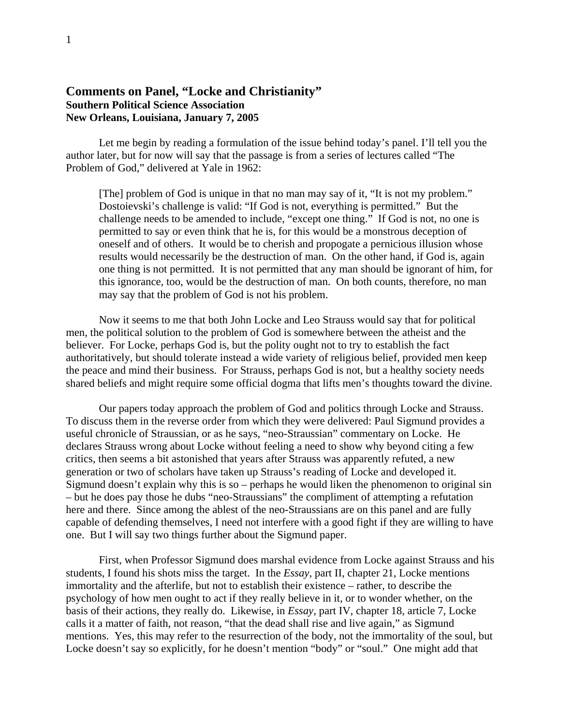## **Comments on Panel, "Locke and Christianity" Southern Political Science Association New Orleans, Louisiana, January 7, 2005**

 Let me begin by reading a formulation of the issue behind today's panel. I'll tell you the author later, but for now will say that the passage is from a series of lectures called "The Problem of God," delivered at Yale in 1962:

[The] problem of God is unique in that no man may say of it, "It is not my problem." Dostoievski's challenge is valid: "If God is not, everything is permitted." But the challenge needs to be amended to include, "except one thing." If God is not, no one is permitted to say or even think that he is, for this would be a monstrous deception of oneself and of others. It would be to cherish and propogate a pernicious illusion whose results would necessarily be the destruction of man. On the other hand, if God is, again one thing is not permitted. It is not permitted that any man should be ignorant of him, for this ignorance, too, would be the destruction of man. On both counts, therefore, no man may say that the problem of God is not his problem.

 Now it seems to me that both John Locke and Leo Strauss would say that for political men, the political solution to the problem of God is somewhere between the atheist and the believer. For Locke, perhaps God is, but the polity ought not to try to establish the fact authoritatively, but should tolerate instead a wide variety of religious belief, provided men keep the peace and mind their business. For Strauss, perhaps God is not, but a healthy society needs shared beliefs and might require some official dogma that lifts men's thoughts toward the divine.

 Our papers today approach the problem of God and politics through Locke and Strauss. To discuss them in the reverse order from which they were delivered: Paul Sigmund provides a useful chronicle of Straussian, or as he says, "neo-Straussian" commentary on Locke. He declares Strauss wrong about Locke without feeling a need to show why beyond citing a few critics, then seems a bit astonished that years after Strauss was apparently refuted, a new generation or two of scholars have taken up Strauss's reading of Locke and developed it. Sigmund doesn't explain why this is so – perhaps he would liken the phenomenon to original sin – but he does pay those he dubs "neo-Straussians" the compliment of attempting a refutation here and there. Since among the ablest of the neo-Straussians are on this panel and are fully capable of defending themselves, I need not interfere with a good fight if they are willing to have one. But I will say two things further about the Sigmund paper.

 First, when Professor Sigmund does marshal evidence from Locke against Strauss and his students, I found his shots miss the target. In the *Essay*, part II, chapter 21, Locke mentions immortality and the afterlife, but not to establish their existence – rather, to describe the psychology of how men ought to act if they really believe in it, or to wonder whether, on the basis of their actions, they really do. Likewise, in *Essay*, part IV, chapter 18, article 7, Locke calls it a matter of faith, not reason, "that the dead shall rise and live again," as Sigmund mentions. Yes, this may refer to the resurrection of the body, not the immortality of the soul, but Locke doesn't say so explicitly, for he doesn't mention "body" or "soul." One might add that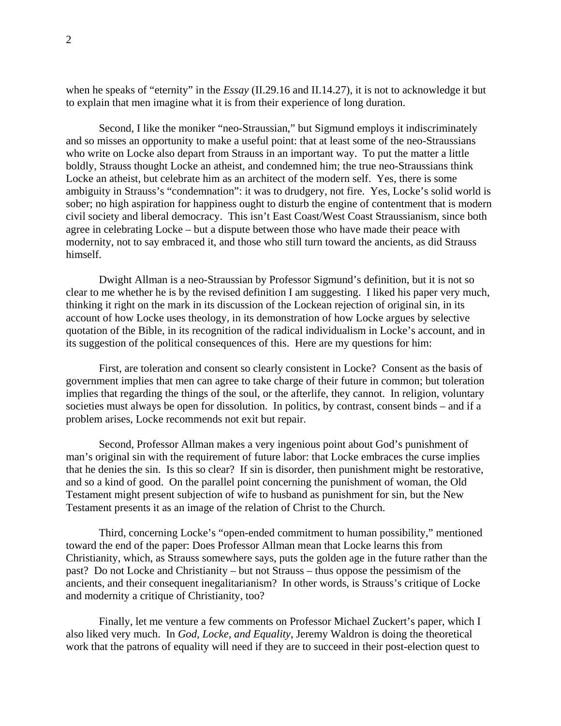when he speaks of "eternity" in the *Essay* (II.29.16 and II.14.27), it is not to acknowledge it but to explain that men imagine what it is from their experience of long duration.

 Second, I like the moniker "neo-Straussian," but Sigmund employs it indiscriminately and so misses an opportunity to make a useful point: that at least some of the neo-Straussians who write on Locke also depart from Strauss in an important way. To put the matter a little boldly, Strauss thought Locke an atheist, and condemned him; the true neo-Straussians think Locke an atheist, but celebrate him as an architect of the modern self. Yes, there is some ambiguity in Strauss's "condemnation": it was to drudgery, not fire. Yes, Locke's solid world is sober; no high aspiration for happiness ought to disturb the engine of contentment that is modern civil society and liberal democracy. This isn't East Coast/West Coast Straussianism, since both agree in celebrating Locke – but a dispute between those who have made their peace with modernity, not to say embraced it, and those who still turn toward the ancients, as did Strauss himself.

 Dwight Allman is a neo-Straussian by Professor Sigmund's definition, but it is not so clear to me whether he is by the revised definition I am suggesting. I liked his paper very much, thinking it right on the mark in its discussion of the Lockean rejection of original sin, in its account of how Locke uses theology, in its demonstration of how Locke argues by selective quotation of the Bible, in its recognition of the radical individualism in Locke's account, and in its suggestion of the political consequences of this. Here are my questions for him:

 First, are toleration and consent so clearly consistent in Locke? Consent as the basis of government implies that men can agree to take charge of their future in common; but toleration implies that regarding the things of the soul, or the afterlife, they cannot. In religion, voluntary societies must always be open for dissolution. In politics, by contrast, consent binds – and if a problem arises, Locke recommends not exit but repair.

 Second, Professor Allman makes a very ingenious point about God's punishment of man's original sin with the requirement of future labor: that Locke embraces the curse implies that he denies the sin. Is this so clear? If sin is disorder, then punishment might be restorative, and so a kind of good. On the parallel point concerning the punishment of woman, the Old Testament might present subjection of wife to husband as punishment for sin, but the New Testament presents it as an image of the relation of Christ to the Church.

 Third, concerning Locke's "open-ended commitment to human possibility," mentioned toward the end of the paper: Does Professor Allman mean that Locke learns this from Christianity, which, as Strauss somewhere says, puts the golden age in the future rather than the past? Do not Locke and Christianity – but not Strauss – thus oppose the pessimism of the ancients, and their consequent inegalitarianism? In other words, is Strauss's critique of Locke and modernity a critique of Christianity, too?

 Finally, let me venture a few comments on Professor Michael Zuckert's paper, which I also liked very much. In *God, Locke, and Equality*, Jeremy Waldron is doing the theoretical work that the patrons of equality will need if they are to succeed in their post-election quest to